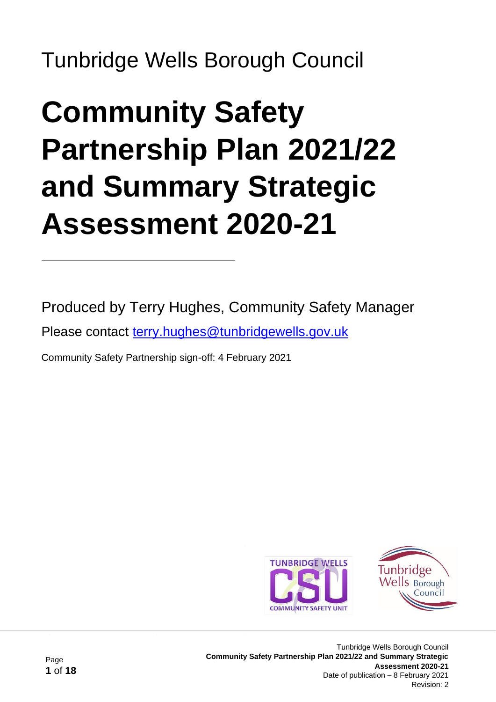Tunbridge Wells Borough Council

# **Community Safety Partnership Plan 2021/22 and Summary Strategic Assessment 2020-21**

Produced by Terry Hughes, Community Safety Manager

Please contact [terry.hughes@tunbridgewells.gov.uk](mailto:terry.hughes@tunbridgewells.gov.uk)

Community Safety Partnership sign-off: 4 February 2021



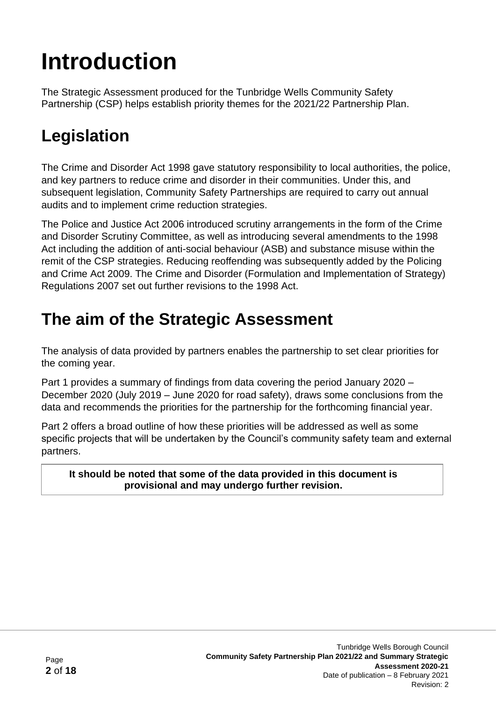# **Introduction**

The Strategic Assessment produced for the Tunbridge Wells Community Safety Partnership (CSP) helps establish priority themes for the 2021/22 Partnership Plan.

# **Legislation**

The Crime and Disorder Act 1998 gave statutory responsibility to local authorities, the police, and key partners to reduce crime and disorder in their communities. Under this, and subsequent legislation, Community Safety Partnerships are required to carry out annual audits and to implement crime reduction strategies.

The Police and Justice Act 2006 introduced scrutiny arrangements in the form of the Crime and Disorder Scrutiny Committee, as well as introducing several amendments to the 1998 Act including the addition of anti-social behaviour (ASB) and substance misuse within the remit of the CSP strategies. Reducing reoffending was subsequently added by the Policing and Crime Act 2009. The Crime and Disorder (Formulation and Implementation of Strategy) Regulations 2007 set out further revisions to the 1998 Act.

## **The aim of the Strategic Assessment**

The analysis of data provided by partners enables the partnership to set clear priorities for the coming year.

Part 1 provides a summary of findings from data covering the period January 2020 – December 2020 (July 2019 – June 2020 for road safety), draws some conclusions from the data and recommends the priorities for the partnership for the forthcoming financial year.

Part 2 offers a broad outline of how these priorities will be addressed as well as some specific projects that will be undertaken by the Council's community safety team and external partners.

**It should be noted that some of the data provided in this document is provisional and may undergo further revision.**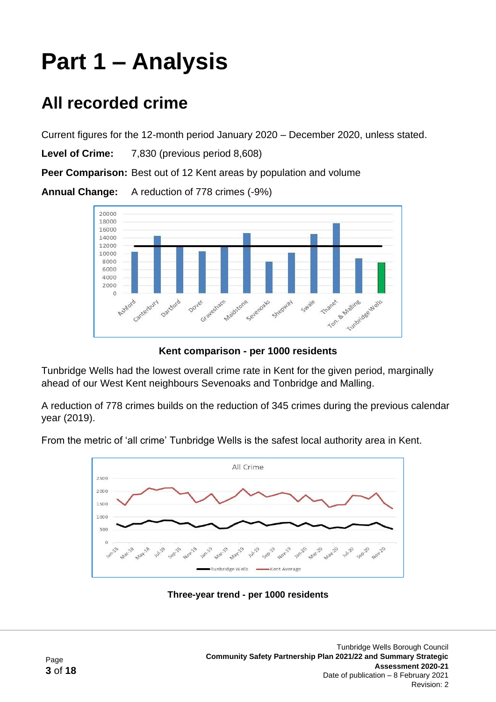# **Part 1 – Analysis**

## **All recorded crime**

Current figures for the 12-month period January 2020 – December 2020, unless stated.

**Level of Crime:** 7,830 (previous period 8,608)

**Peer Comparison:** Best out of 12 Kent areas by population and volume

**Annual Change:** A reduction of 778 crimes (-9%)



**Kent comparison - per 1000 residents**

Tunbridge Wells had the lowest overall crime rate in Kent for the given period, marginally ahead of our West Kent neighbours Sevenoaks and Tonbridge and Malling.

A reduction of 778 crimes builds on the reduction of 345 crimes during the previous calendar year (2019).

From the metric of 'all crime' Tunbridge Wells is the safest local authority area in Kent.



**Three-year trend - per 1000 residents**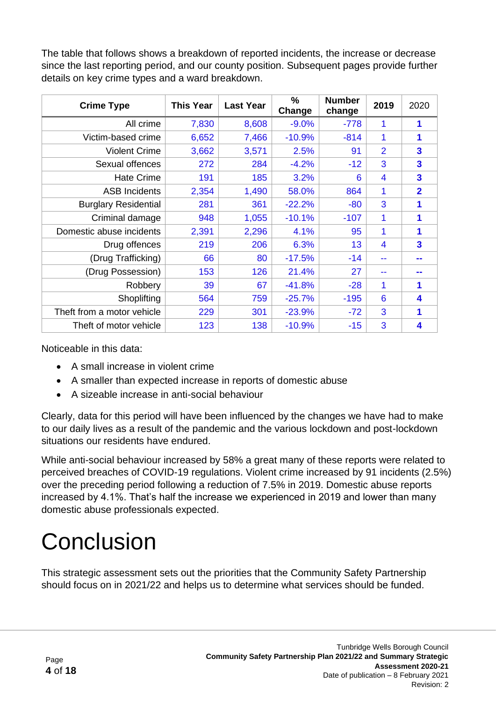The table that follows shows a breakdown of reported incidents, the increase or decrease since the last reporting period, and our county position. Subsequent pages provide further details on key crime types and a ward breakdown.

| <b>Crime Type</b>           | <b>This Year</b> | <b>Last Year</b> | $\frac{0}{0}$<br>Change | <b>Number</b><br>change | 2019           | 2020                    |
|-----------------------------|------------------|------------------|-------------------------|-------------------------|----------------|-------------------------|
| All crime                   | 7,830            | 8,608            | $-9.0%$                 | $-778$                  | 1              | 1                       |
| Victim-based crime          | 6,652            | 7,466            | $-10.9%$                | $-814$                  | 1              | 1                       |
| <b>Violent Crime</b>        | 3,662            | 3,571            | 2.5%                    | 91                      | 2              | $\overline{\mathbf{3}}$ |
| Sexual offences             | 272              | 284              | $-4.2%$                 | $-12$                   | 3              | $\overline{\mathbf{3}}$ |
| <b>Hate Crime</b>           | 191              | 185              | 3.2%                    | 6                       | $\overline{4}$ | $\overline{\mathbf{3}}$ |
| <b>ASB Incidents</b>        | 2,354            | 1,490            | 58.0%                   | 864                     | 1              | $\overline{2}$          |
| <b>Burglary Residential</b> | 281              | 361              | $-22.2%$                | $-80$                   | 3              | 1                       |
| Criminal damage             | 948              | 1,055            | $-10.1%$                | $-107$                  | 1              | 1                       |
| Domestic abuse incidents    | 2,391            | 2,296            | 4.1%                    | 95                      | 1              | 1                       |
| Drug offences               | 219              | 206              | 6.3%                    | 13                      | 4              | $\overline{\mathbf{3}}$ |
| (Drug Trafficking)          | 66               | 80               | $-17.5%$                | $-14$                   |                | - -                     |
| (Drug Possession)           | 153              | 126              | 21.4%                   | 27                      | --             |                         |
| Robbery                     | 39               | 67               | $-41.8%$                | $-28$                   | 1              | 1                       |
| Shoplifting                 | 564              | 759              | $-25.7%$                | $-195$                  | 6              | 4                       |
| Theft from a motor vehicle  | 229              | 301              | $-23.9%$                | $-72$                   | 3              | 1                       |
| Theft of motor vehicle      | 123              | 138              | $-10.9%$                | $-15$                   | 3              | 4                       |

Noticeable in this data:

- A small increase in violent crime
- A smaller than expected increase in reports of domestic abuse
- A sizeable increase in anti-social behaviour

Clearly, data for this period will have been influenced by the changes we have had to make to our daily lives as a result of the pandemic and the various lockdown and post-lockdown situations our residents have endured.

While anti-social behaviour increased by 58% a great many of these reports were related to perceived breaches of COVID-19 regulations. Violent crime increased by 91 incidents (2.5%) over the preceding period following a reduction of 7.5% in 2019. Domestic abuse reports increased by 4.1%. That's half the increase we experienced in 2019 and lower than many domestic abuse professionals expected.

# **Conclusion**

This strategic assessment sets out the priorities that the Community Safety Partnership should focus on in 2021/22 and helps us to determine what services should be funded.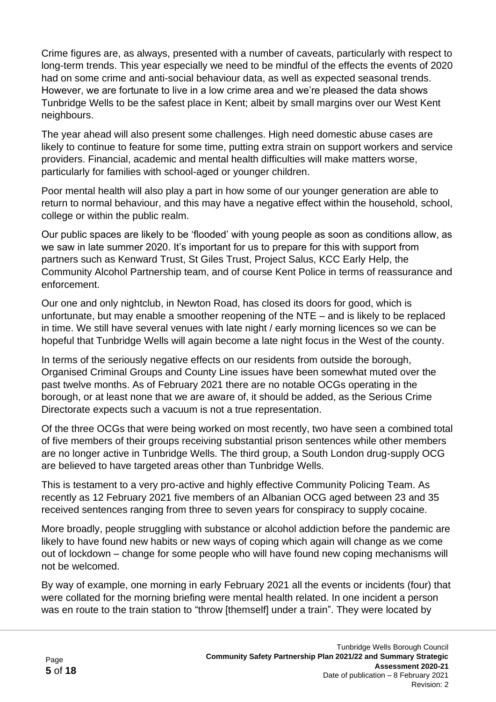Crime figures are, as always, presented with a number of caveats, particularly with respect to long-term trends. This year especially we need to be mindful of the effects the events of 2020 had on some crime and anti-social behaviour data, as well as expected seasonal trends. However, we are fortunate to live in a low crime area and we're pleased the data shows Tunbridge Wells to be the safest place in Kent; albeit by small margins over our West Kent neighbours.

The year ahead will also present some challenges. High need domestic abuse cases are likely to continue to feature for some time, putting extra strain on support workers and service providers. Financial, academic and mental health difficulties will make matters worse, particularly for families with school-aged or younger children.

Poor mental health will also play a part in how some of our younger generation are able to return to normal behaviour, and this may have a negative effect within the household, school, college or within the public realm.

Our public spaces are likely to be 'flooded' with young people as soon as conditions allow, as we saw in late summer 2020. It's important for us to prepare for this with support from partners such as Kenward Trust, St Giles Trust, Project Salus, KCC Early Help, the Community Alcohol Partnership team, and of course Kent Police in terms of reassurance and enforcement.

Our one and only nightclub, in Newton Road, has closed its doors for good, which is unfortunate, but may enable a smoother reopening of the NTE – and is likely to be replaced in time. We still have several venues with late night / early morning licences so we can be hopeful that Tunbridge Wells will again become a late night focus in the West of the county.

In terms of the seriously negative effects on our residents from outside the borough, Organised Criminal Groups and County Line issues have been somewhat muted over the past twelve months. As of February 2021 there are no notable OCGs operating in the borough, or at least none that we are aware of, it should be added, as the Serious Crime Directorate expects such a vacuum is not a true representation.

Of the three OCGs that were being worked on most recently, two have seen a combined total of five members of their groups receiving substantial prison sentences while other members are no longer active in Tunbridge Wells. The third group, a South London drug-supply OCG are believed to have targeted areas other than Tunbridge Wells.

This is testament to a very pro-active and highly effective Community Policing Team. As recently as 12 February 2021 five members of an Albanian OCG aged between 23 and 35 received sentences ranging from three to seven years for conspiracy to supply cocaine.

More broadly, people struggling with substance or alcohol addiction before the pandemic are likely to have found new habits or new ways of coping which again will change as we come out of lockdown – change for some people who will have found new coping mechanisms will not be welcomed.

By way of example, one morning in early February 2021 all the events or incidents (four) that were collated for the morning briefing were mental health related. In one incident a person was en route to the train station to "throw [themself] under a train". They were located by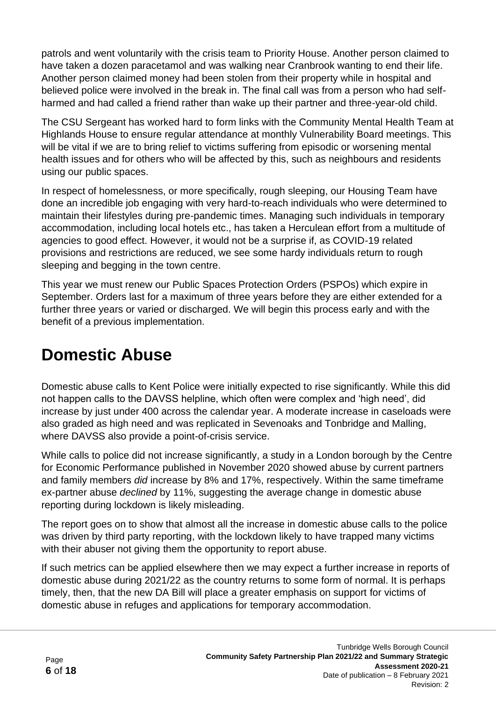patrols and went voluntarily with the crisis team to Priority House. Another person claimed to have taken a dozen paracetamol and was walking near Cranbrook wanting to end their life. Another person claimed money had been stolen from their property while in hospital and believed police were involved in the break in. The final call was from a person who had selfharmed and had called a friend rather than wake up their partner and three-year-old child.

The CSU Sergeant has worked hard to form links with the Community Mental Health Team at Highlands House to ensure regular attendance at monthly Vulnerability Board meetings. This will be vital if we are to bring relief to victims suffering from episodic or worsening mental health issues and for others who will be affected by this, such as neighbours and residents using our public spaces.

In respect of homelessness, or more specifically, rough sleeping, our Housing Team have done an incredible job engaging with very hard-to-reach individuals who were determined to maintain their lifestyles during pre-pandemic times. Managing such individuals in temporary accommodation, including local hotels etc., has taken a Herculean effort from a multitude of agencies to good effect. However, it would not be a surprise if, as COVID-19 related provisions and restrictions are reduced, we see some hardy individuals return to rough sleeping and begging in the town centre.

This year we must renew our Public Spaces Protection Orders (PSPOs) which expire in September. Orders last for a maximum of three years before they are either extended for a further three years or varied or discharged. We will begin this process early and with the benefit of a previous implementation.

### **Domestic Abuse**

Domestic abuse calls to Kent Police were initially expected to rise significantly. While this did not happen calls to the DAVSS helpline, which often were complex and 'high need', did increase by just under 400 across the calendar year. A moderate increase in caseloads were also graded as high need and was replicated in Sevenoaks and Tonbridge and Malling, where DAVSS also provide a point-of-crisis service.

While calls to police did not increase significantly, a study in a London borough by the Centre for Economic Performance published in November 2020 showed abuse by current partners and family members *did* increase by 8% and 17%, respectively. Within the same timeframe ex-partner abuse *declined* by 11%, suggesting the average change in domestic abuse reporting during lockdown is likely misleading.

The report goes on to show that almost all the increase in domestic abuse calls to the police was driven by third party reporting, with the lockdown likely to have trapped many victims with their abuser not giving them the opportunity to report abuse.

If such metrics can be applied elsewhere then we may expect a further increase in reports of domestic abuse during 2021/22 as the country returns to some form of normal. It is perhaps timely, then, that the new DA Bill will place a greater emphasis on support for victims of domestic abuse in refuges and applications for temporary accommodation.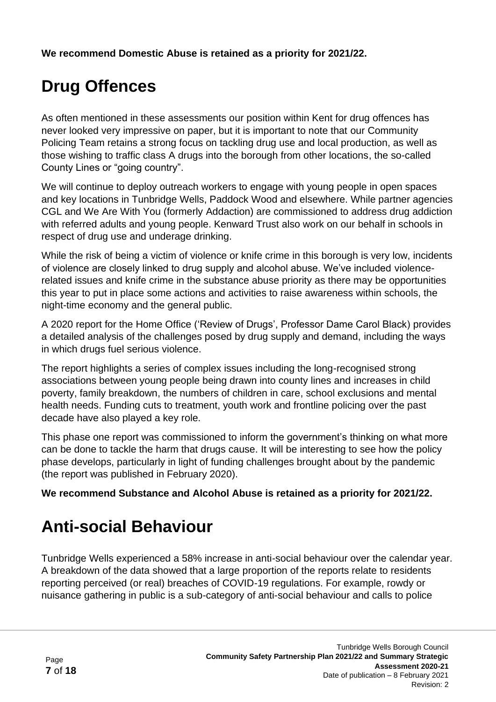**We recommend Domestic Abuse is retained as a priority for 2021/22.**

# **Drug Offences**

As often mentioned in these assessments our position within Kent for drug offences has never looked very impressive on paper, but it is important to note that our Community Policing Team retains a strong focus on tackling drug use and local production, as well as those wishing to traffic class A drugs into the borough from other locations, the so-called County Lines or "going country".

We will continue to deploy outreach workers to engage with young people in open spaces and key locations in Tunbridge Wells, Paddock Wood and elsewhere. While partner agencies CGL and We Are With You (formerly Addaction) are commissioned to address drug addiction with referred adults and young people. Kenward Trust also work on our behalf in schools in respect of drug use and underage drinking.

While the risk of being a victim of violence or knife crime in this borough is very low, incidents of violence are closely linked to drug supply and alcohol abuse. We've included violencerelated issues and knife crime in the substance abuse priority as there may be opportunities this year to put in place some actions and activities to raise awareness within schools, the night-time economy and the general public.

A 2020 report for the Home Office ('Review of Drugs', Professor Dame Carol Black) provides a detailed analysis of the challenges posed by drug supply and demand, including the ways in which drugs fuel serious violence.

The report highlights a series of complex issues including the long-recognised strong associations between young people being drawn into county lines and increases in child poverty, family breakdown, the numbers of children in care, school exclusions and mental health needs. Funding cuts to treatment, youth work and frontline policing over the past decade have also played a key role.

This phase one report was commissioned to inform the government's thinking on what more can be done to tackle the harm that drugs cause. It will be interesting to see how the policy phase develops, particularly in light of funding challenges brought about by the pandemic (the report was published in February 2020).

**We recommend Substance and Alcohol Abuse is retained as a priority for 2021/22.**

# **Anti-social Behaviour**

Tunbridge Wells experienced a 58% increase in anti-social behaviour over the calendar year. A breakdown of the data showed that a large proportion of the reports relate to residents reporting perceived (or real) breaches of COVID-19 regulations. For example, rowdy or nuisance gathering in public is a sub-category of anti-social behaviour and calls to police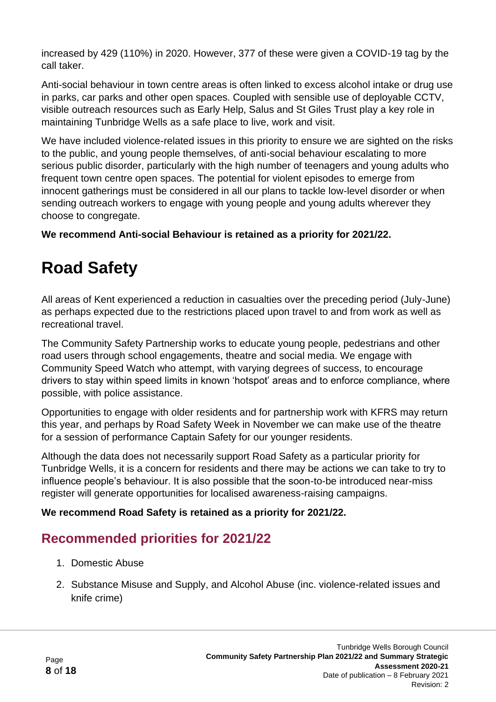increased by 429 (110%) in 2020. However, 377 of these were given a COVID-19 tag by the call taker.

Anti-social behaviour in town centre areas is often linked to excess alcohol intake or drug use in parks, car parks and other open spaces. Coupled with sensible use of deployable CCTV, visible outreach resources such as Early Help, Salus and St Giles Trust play a key role in maintaining Tunbridge Wells as a safe place to live, work and visit.

We have included violence-related issues in this priority to ensure we are sighted on the risks to the public, and young people themselves, of anti-social behaviour escalating to more serious public disorder, particularly with the high number of teenagers and young adults who frequent town centre open spaces. The potential for violent episodes to emerge from innocent gatherings must be considered in all our plans to tackle low-level disorder or when sending outreach workers to engage with young people and young adults wherever they choose to congregate.

**We recommend Anti-social Behaviour is retained as a priority for 2021/22.**

## **Road Safety**

All areas of Kent experienced a reduction in casualties over the preceding period (July-June) as perhaps expected due to the restrictions placed upon travel to and from work as well as recreational travel.

The Community Safety Partnership works to educate young people, pedestrians and other road users through school engagements, theatre and social media. We engage with Community Speed Watch who attempt, with varying degrees of success, to encourage drivers to stay within speed limits in known 'hotspot' areas and to enforce compliance, where possible, with police assistance.

Opportunities to engage with older residents and for partnership work with KFRS may return this year, and perhaps by Road Safety Week in November we can make use of the theatre for a session of performance Captain Safety for our younger residents.

Although the data does not necessarily support Road Safety as a particular priority for Tunbridge Wells, it is a concern for residents and there may be actions we can take to try to influence people's behaviour. It is also possible that the soon-to-be introduced near-miss register will generate opportunities for localised awareness-raising campaigns.

#### **We recommend Road Safety is retained as a priority for 2021/22.**

#### **Recommended priorities for 2021/22**

- 1. Domestic Abuse
- 2. Substance Misuse and Supply, and Alcohol Abuse (inc. violence-related issues and knife crime)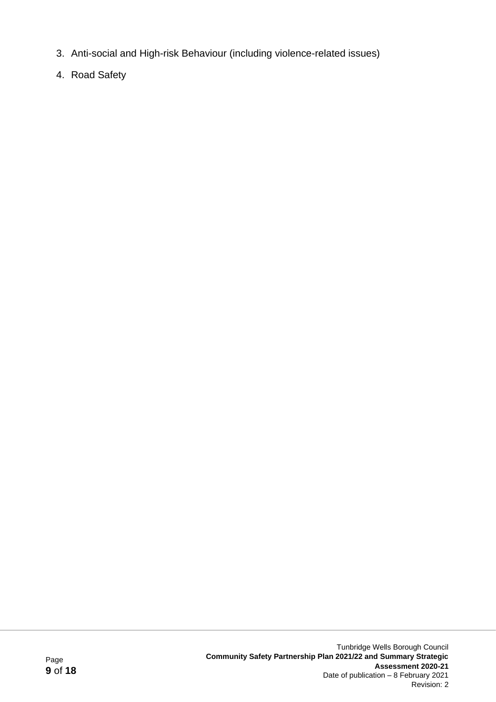- 3. Anti-social and High-risk Behaviour (including violence-related issues)
- 4. Road Safety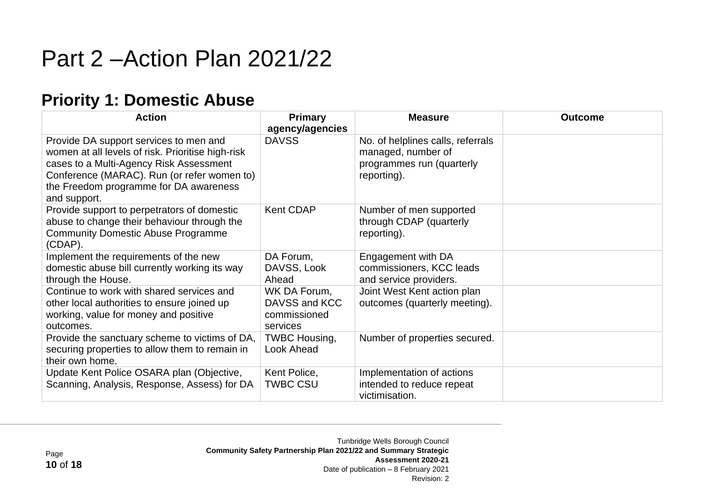# Part 2 –Action Plan 2021/22

### **Priority 1: Domestic Abuse**

| <b>Action</b>                                                                                                                                                                                                                                   | <b>Primary</b><br>agency/agencies                         | <b>Measure</b>                                                                                      | <b>Outcome</b> |
|-------------------------------------------------------------------------------------------------------------------------------------------------------------------------------------------------------------------------------------------------|-----------------------------------------------------------|-----------------------------------------------------------------------------------------------------|----------------|
| Provide DA support services to men and<br>women at all levels of risk. Prioritise high-risk<br>cases to a Multi-Agency Risk Assessment<br>Conference (MARAC). Run (or refer women to)<br>the Freedom programme for DA awareness<br>and support. | <b>DAVSS</b>                                              | No. of helplines calls, referrals<br>managed, number of<br>programmes run (quarterly<br>reporting). |                |
| Provide support to perpetrators of domestic<br>abuse to change their behaviour through the<br><b>Community Domestic Abuse Programme</b><br>(CDAP).                                                                                              | <b>Kent CDAP</b>                                          | Number of men supported<br>through CDAP (quarterly<br>reporting).                                   |                |
| Implement the requirements of the new<br>domestic abuse bill currently working its way<br>through the House.                                                                                                                                    | DA Forum,<br>DAVSS, Look<br>Ahead                         | Engagement with DA<br>commissioners, KCC leads<br>and service providers.                            |                |
| Continue to work with shared services and<br>other local authorities to ensure joined up<br>working, value for money and positive<br>outcomes.                                                                                                  | WK DA Forum,<br>DAVSS and KCC<br>commissioned<br>services | Joint West Kent action plan<br>outcomes (quarterly meeting).                                        |                |
| Provide the sanctuary scheme to victims of DA,<br>securing properties to allow them to remain in<br>their own home.                                                                                                                             | <b>TWBC Housing,</b><br>Look Ahead                        | Number of properties secured.                                                                       |                |
| Update Kent Police OSARA plan (Objective,<br>Scanning, Analysis, Response, Assess) for DA                                                                                                                                                       | Kent Police,<br><b>TWBC CSU</b>                           | Implementation of actions<br>intended to reduce repeat<br>victimisation.                            |                |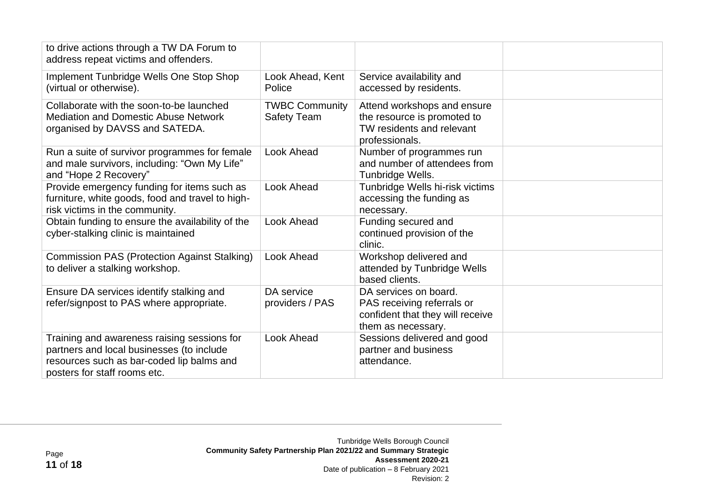| to drive actions through a TW DA Forum to<br>address repeat victims and offenders.                                                                                    |                                             |                                                                                                               |  |
|-----------------------------------------------------------------------------------------------------------------------------------------------------------------------|---------------------------------------------|---------------------------------------------------------------------------------------------------------------|--|
| Implement Tunbridge Wells One Stop Shop<br>(virtual or otherwise).                                                                                                    | Look Ahead, Kent<br>Police                  | Service availability and<br>accessed by residents.                                                            |  |
| Collaborate with the soon-to-be launched<br><b>Mediation and Domestic Abuse Network</b><br>organised by DAVSS and SATEDA.                                             | <b>TWBC Community</b><br><b>Safety Team</b> | Attend workshops and ensure<br>the resource is promoted to<br>TW residents and relevant<br>professionals.     |  |
| Run a suite of survivor programmes for female<br>and male survivors, including: "Own My Life"<br>and "Hope 2 Recovery"                                                | Look Ahead                                  | Number of programmes run<br>and number of attendees from<br>Tunbridge Wells.                                  |  |
| Provide emergency funding for items such as<br>furniture, white goods, food and travel to high-<br>risk victims in the community.                                     | Look Ahead                                  | Tunbridge Wells hi-risk victims<br>accessing the funding as<br>necessary.                                     |  |
| Obtain funding to ensure the availability of the<br>cyber-stalking clinic is maintained                                                                               | Look Ahead                                  | Funding secured and<br>continued provision of the<br>clinic.                                                  |  |
| <b>Commission PAS (Protection Against Stalking)</b><br>to deliver a stalking workshop.                                                                                | Look Ahead                                  | Workshop delivered and<br>attended by Tunbridge Wells<br>based clients.                                       |  |
| Ensure DA services identify stalking and<br>refer/signpost to PAS where appropriate.                                                                                  | DA service<br>providers / PAS               | DA services on board.<br>PAS receiving referrals or<br>confident that they will receive<br>them as necessary. |  |
| Training and awareness raising sessions for<br>partners and local businesses (to include<br>resources such as bar-coded lip balms and<br>posters for staff rooms etc. | Look Ahead                                  | Sessions delivered and good<br>partner and business<br>attendance.                                            |  |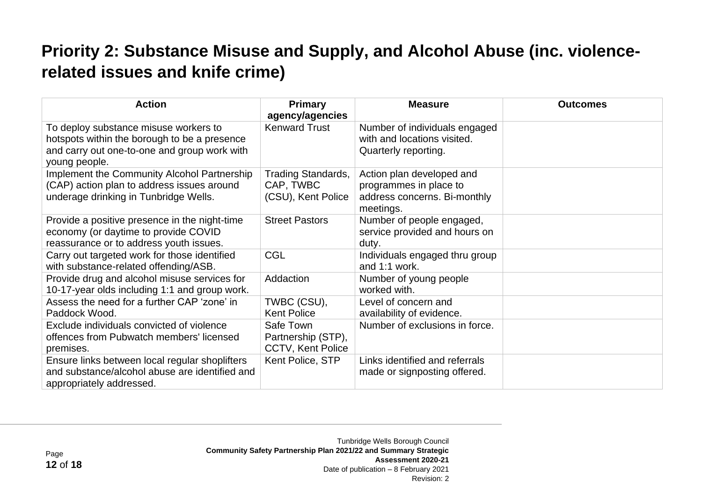### **Priority 2: Substance Misuse and Supply, and Alcohol Abuse (inc. violencerelated issues and knife crime)**

| <b>Action</b>                                                                                                                                          | <b>Primary</b><br>agency/agencies                            | <b>Measure</b>                                                                                   | <b>Outcomes</b> |
|--------------------------------------------------------------------------------------------------------------------------------------------------------|--------------------------------------------------------------|--------------------------------------------------------------------------------------------------|-----------------|
| To deploy substance misuse workers to<br>hotspots within the borough to be a presence<br>and carry out one-to-one and group work with<br>young people. | <b>Kenward Trust</b>                                         | Number of individuals engaged<br>with and locations visited.<br>Quarterly reporting.             |                 |
| Implement the Community Alcohol Partnership<br>(CAP) action plan to address issues around<br>underage drinking in Tunbridge Wells.                     | <b>Trading Standards,</b><br>CAP, TWBC<br>(CSU), Kent Police | Action plan developed and<br>programmes in place to<br>address concerns. Bi-monthly<br>meetings. |                 |
| Provide a positive presence in the night-time<br>economy (or daytime to provide COVID<br>reassurance or to address youth issues.                       | <b>Street Pastors</b>                                        | Number of people engaged,<br>service provided and hours on<br>duty.                              |                 |
| Carry out targeted work for those identified<br>with substance-related offending/ASB.                                                                  | <b>CGL</b>                                                   | Individuals engaged thru group<br>and 1:1 work.                                                  |                 |
| Provide drug and alcohol misuse services for<br>10-17-year olds including 1:1 and group work.                                                          | Addaction                                                    | Number of young people<br>worked with.                                                           |                 |
| Assess the need for a further CAP 'zone' in<br>Paddock Wood.                                                                                           | TWBC (CSU),<br><b>Kent Police</b>                            | Level of concern and<br>availability of evidence.                                                |                 |
| Exclude individuals convicted of violence<br>offences from Pubwatch members' licensed<br>premises.                                                     | Safe Town<br>Partnership (STP),<br>CCTV, Kent Police         | Number of exclusions in force.                                                                   |                 |
| Ensure links between local regular shoplifters<br>and substance/alcohol abuse are identified and<br>appropriately addressed.                           | Kent Police, STP                                             | Links identified and referrals<br>made or signposting offered.                                   |                 |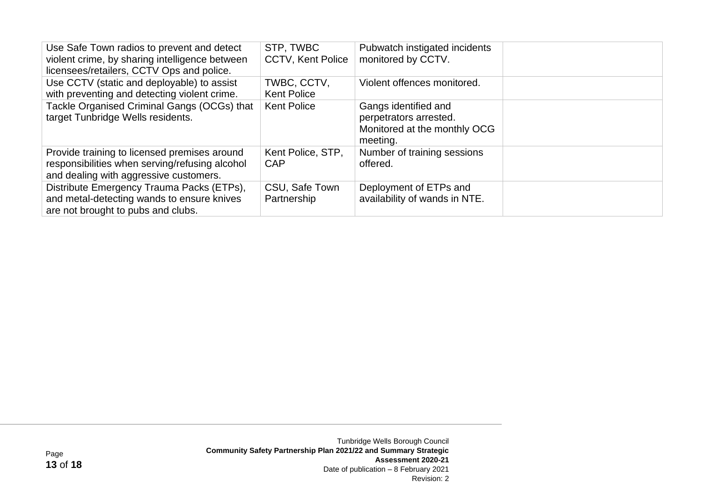| Use Safe Town radios to prevent and detect<br>violent crime, by sharing intelligence between<br>licensees/retailers, CCTV Ops and police. | STP, TWBC<br><b>CCTV, Kent Police</b> | Pubwatch instigated incidents<br>monitored by CCTV.                                        |  |
|-------------------------------------------------------------------------------------------------------------------------------------------|---------------------------------------|--------------------------------------------------------------------------------------------|--|
| Use CCTV (static and deployable) to assist<br>with preventing and detecting violent crime.                                                | TWBC, CCTV,<br><b>Kent Police</b>     | Violent offences monitored.                                                                |  |
| Tackle Organised Criminal Gangs (OCGs) that<br>target Tunbridge Wells residents.                                                          | <b>Kent Police</b>                    | Gangs identified and<br>perpetrators arrested.<br>Monitored at the monthly OCG<br>meeting. |  |
| Provide training to licensed premises around<br>responsibilities when serving/refusing alcohol<br>and dealing with aggressive customers.  | Kent Police, STP,<br>CAP              | Number of training sessions<br>offered.                                                    |  |
| Distribute Emergency Trauma Packs (ETPs),<br>and metal-detecting wands to ensure knives<br>are not brought to pubs and clubs.             | CSU, Safe Town<br>Partnership         | Deployment of ETPs and<br>availability of wands in NTE.                                    |  |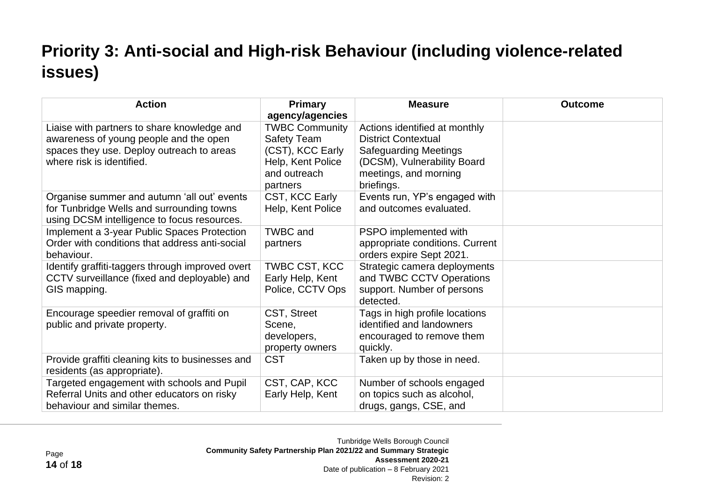# **Priority 3: Anti-social and High-risk Behaviour (including violence-related issues)**

| <b>Action</b>                                                                                                                                                   | <b>Primary</b><br>agency/agencies                                                                                | <b>Measure</b>                                                                                                                                                    | <b>Outcome</b> |
|-----------------------------------------------------------------------------------------------------------------------------------------------------------------|------------------------------------------------------------------------------------------------------------------|-------------------------------------------------------------------------------------------------------------------------------------------------------------------|----------------|
| Liaise with partners to share knowledge and<br>awareness of young people and the open<br>spaces they use. Deploy outreach to areas<br>where risk is identified. | <b>TWBC Community</b><br><b>Safety Team</b><br>(CST), KCC Early<br>Help, Kent Police<br>and outreach<br>partners | Actions identified at monthly<br><b>District Contextual</b><br><b>Safeguarding Meetings</b><br>(DCSM), Vulnerability Board<br>meetings, and morning<br>briefings. |                |
| Organise summer and autumn 'all out' events<br>for Tunbridge Wells and surrounding towns<br>using DCSM intelligence to focus resources.                         | CST, KCC Early<br>Help, Kent Police                                                                              | Events run, YP's engaged with<br>and outcomes evaluated.                                                                                                          |                |
| Implement a 3-year Public Spaces Protection<br>Order with conditions that address anti-social<br>behaviour.                                                     | <b>TWBC</b> and<br>partners                                                                                      | PSPO implemented with<br>appropriate conditions. Current<br>orders expire Sept 2021.                                                                              |                |
| Identify graffiti-taggers through improved overt<br>CCTV surveillance (fixed and deployable) and<br>GIS mapping.                                                | TWBC CST, KCC<br>Early Help, Kent<br>Police, CCTV Ops                                                            | Strategic camera deployments<br>and TWBC CCTV Operations<br>support. Number of persons<br>detected.                                                               |                |
| Encourage speedier removal of graffiti on<br>public and private property.                                                                                       | CST, Street<br>Scene,<br>developers,<br>property owners                                                          | Tags in high profile locations<br>identified and landowners<br>encouraged to remove them<br>quickly.                                                              |                |
| Provide graffiti cleaning kits to businesses and<br>residents (as appropriate).                                                                                 | <b>CST</b>                                                                                                       | Taken up by those in need.                                                                                                                                        |                |
| Targeted engagement with schools and Pupil<br>Referral Units and other educators on risky<br>behaviour and similar themes.                                      | CST, CAP, KCC<br>Early Help, Kent                                                                                | Number of schools engaged<br>on topics such as alcohol,<br>drugs, gangs, CSE, and                                                                                 |                |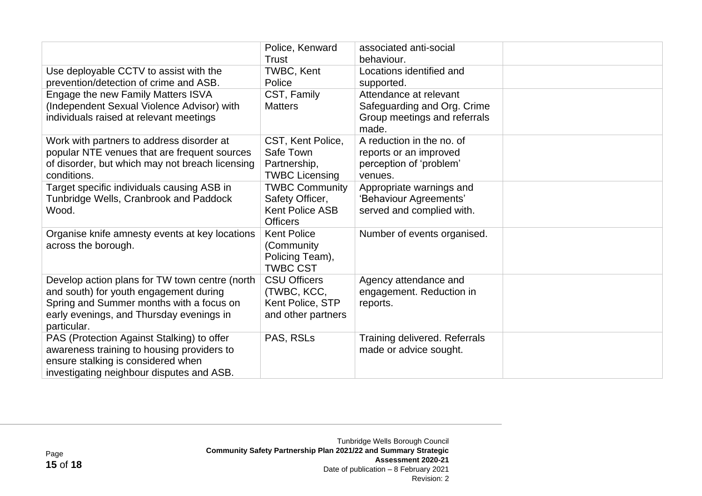|                                                                                                                                                                                                 | Police, Kenward<br>Trust                                                              | associated anti-social<br>behaviour.                                                           |  |
|-------------------------------------------------------------------------------------------------------------------------------------------------------------------------------------------------|---------------------------------------------------------------------------------------|------------------------------------------------------------------------------------------------|--|
| Use deployable CCTV to assist with the<br>prevention/detection of crime and ASB.                                                                                                                | TWBC, Kent<br>Police                                                                  | Locations identified and<br>supported.                                                         |  |
| Engage the new Family Matters ISVA<br>(Independent Sexual Violence Advisor) with<br>individuals raised at relevant meetings                                                                     | CST, Family<br><b>Matters</b>                                                         | Attendance at relevant<br>Safeguarding and Org. Crime<br>Group meetings and referrals<br>made. |  |
| Work with partners to address disorder at<br>popular NTE venues that are frequent sources<br>of disorder, but which may not breach licensing<br>conditions.                                     | CST, Kent Police,<br>Safe Town<br>Partnership,<br><b>TWBC Licensing</b>               | A reduction in the no. of<br>reports or an improved<br>perception of 'problem'<br>venues.      |  |
| Target specific individuals causing ASB in<br>Tunbridge Wells, Cranbrook and Paddock<br>Wood.                                                                                                   | <b>TWBC Community</b><br>Safety Officer,<br><b>Kent Police ASB</b><br><b>Officers</b> | Appropriate warnings and<br>'Behaviour Agreements'<br>served and complied with.                |  |
| Organise knife amnesty events at key locations<br>across the borough.                                                                                                                           | <b>Kent Police</b><br>(Community<br>Policing Team),<br><b>TWBC CST</b>                | Number of events organised.                                                                    |  |
| Develop action plans for TW town centre (north<br>and south) for youth engagement during<br>Spring and Summer months with a focus on<br>early evenings, and Thursday evenings in<br>particular. | <b>CSU Officers</b><br>(TWBC, KCC,<br>Kent Police, STP<br>and other partners          | Agency attendance and<br>engagement. Reduction in<br>reports.                                  |  |
| PAS (Protection Against Stalking) to offer<br>awareness training to housing providers to<br>ensure stalking is considered when<br>investigating neighbour disputes and ASB.                     | PAS, RSLs                                                                             | Training delivered. Referrals<br>made or advice sought.                                        |  |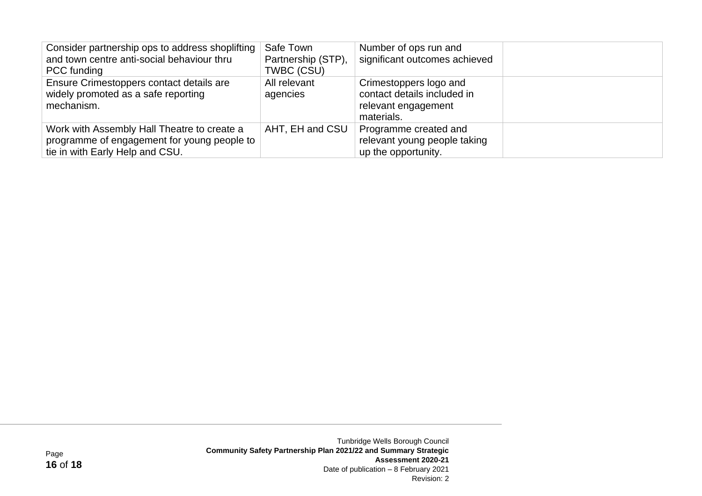| Consider partnership ops to address shoplifting<br>and town centre anti-social behaviour thru<br>PCC funding                  | Safe Town<br>Partnership (STP),<br>TWBC (CSU) | Number of ops run and<br>significant outcomes achieved                                     |
|-------------------------------------------------------------------------------------------------------------------------------|-----------------------------------------------|--------------------------------------------------------------------------------------------|
| Ensure Crimestoppers contact details are<br>widely promoted as a safe reporting<br>mechanism.                                 | All relevant<br>agencies                      | Crimestoppers logo and<br>contact details included in<br>relevant engagement<br>materials. |
| Work with Assembly Hall Theatre to create a<br>programme of engagement for young people to<br>tie in with Early Help and CSU. | AHT, EH and CSU                               | Programme created and<br>relevant young people taking<br>up the opportunity.               |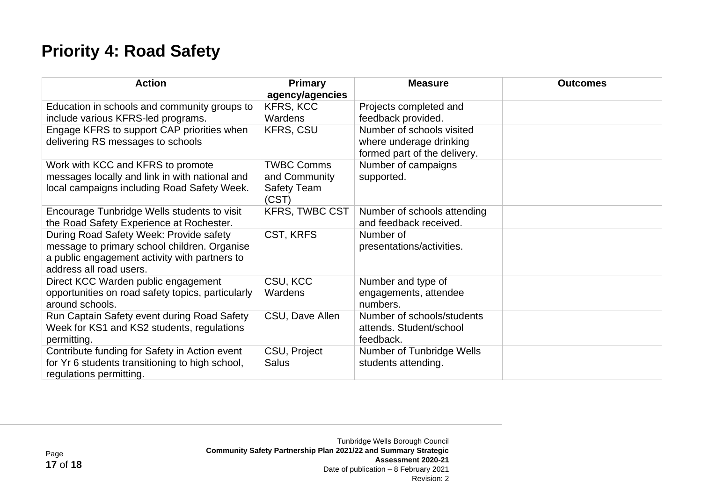### **Priority 4: Road Safety**

| <b>Action</b>                                                                                                                                                       | <b>Primary</b>                                                    | <b>Measure</b>                                                                       | <b>Outcomes</b> |
|---------------------------------------------------------------------------------------------------------------------------------------------------------------------|-------------------------------------------------------------------|--------------------------------------------------------------------------------------|-----------------|
| Education in schools and community groups to<br>include various KFRS-led programs.                                                                                  | agency/agencies<br><b>KFRS, KCC</b><br>Wardens                    | Projects completed and<br>feedback provided.                                         |                 |
| Engage KFRS to support CAP priorities when<br>delivering RS messages to schools                                                                                     | <b>KFRS, CSU</b>                                                  | Number of schools visited<br>where underage drinking<br>formed part of the delivery. |                 |
| Work with KCC and KFRS to promote<br>messages locally and link in with national and<br>local campaigns including Road Safety Week.                                  | <b>TWBC Comms</b><br>and Community<br><b>Safety Team</b><br>(CST) | Number of campaigns<br>supported.                                                    |                 |
| Encourage Tunbridge Wells students to visit<br>the Road Safety Experience at Rochester.                                                                             | <b>KFRS, TWBC CST</b>                                             | Number of schools attending<br>and feedback received.                                |                 |
| During Road Safety Week: Provide safety<br>message to primary school children. Organise<br>a public engagement activity with partners to<br>address all road users. | CST, KRFS                                                         | Number of<br>presentations/activities.                                               |                 |
| Direct KCC Warden public engagement<br>opportunities on road safety topics, particularly<br>around schools.                                                         | CSU, KCC<br>Wardens                                               | Number and type of<br>engagements, attendee<br>numbers.                              |                 |
| Run Captain Safety event during Road Safety<br>Week for KS1 and KS2 students, regulations<br>permitting.                                                            | CSU, Dave Allen                                                   | Number of schools/students<br>attends. Student/school<br>feedback.                   |                 |
| Contribute funding for Safety in Action event<br>for Yr 6 students transitioning to high school,<br>regulations permitting.                                         | CSU, Project<br><b>Salus</b>                                      | Number of Tunbridge Wells<br>students attending.                                     |                 |